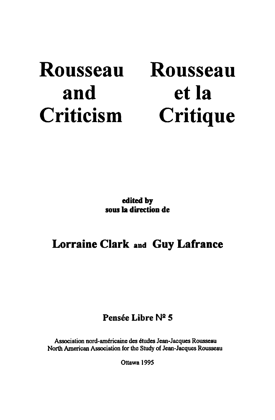# **Rousseau and Criticism**

# **Rousseau et la Critique**

**edited by sous la direction de** 

## **Lorraine Clark and Guy Lafranee**

## Pensée Libre Nº 5

Association nord-américaine des études Jean-Jacques Rousseau North American Association for the Study of Jean-Jacques Rousseau

Ottawa 1995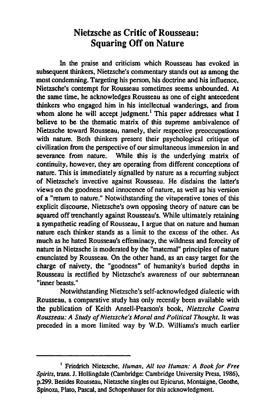### Nietzsche as Critic of Rousseau: **Squaring Off on Nature**

In the praise and criticism wbich Rousseau has evoked in subsequent thinkers, Nietzsche's commentary stands out as among the most condemning. Targeting his person, his doctrine and his influence, Nietzsche's contempt for Rousseau sometimes seems unbounded. At the same time, he acknowledges Rousseau as one of eight antecedent thinkers who engaged him in his intellectual wanderings, and from whom alone he will accept judgment.<sup>1</sup> This paper addresses what I helieve to he the thematic matrix of this supreme ambivaJence of Nietzsche toward Rousseau, namely, their respective preoccupations with nature. Both thinkers present their psychological critique of civilization from the perspective of our simultaneous immersion in and<br>severance from nature. While this is the underlying matrix of While this is the underlying matrix of continuity, however, they are operating from different conceptions of nature. This is immediately signalled by nature as a recurring subject of Nietzsche's invective against Rousseau. He disdains the latter's views on the goodness and innocence of nature, as weil as bis version of a "return to nature." Notwithstanding the vituperative tones of this explicit discourse, Nietzsche's own opposing theory of nature can he squared off trenchantly against Rousseau's. While ultimately retaining a sympathetic reading of Rousseau. 1 argue that on nature and human nature each thinker stands as a limit to the excess of the other. As much as he hated Rousseau's effeminacy, the wildness and ferocity of nature in Nietzsche is moderated by the "maternaJ" principles of nature enunciated by Rousseau. On the other hand, as an easy target for the charge of naivety, the "goodness" of humanity's buried depths in Rousseau is rectified by Nietzsche's awareness of our subterranean "inner heasts."

Notwithstanding Nietzsche's self-acknowledged dialectic with Rousseau, a comparative study has only recently been available with the publication of Keith Ansell-Pearson's book. *Nietzsche Contra Rousseau: A Study of Nietzsche's Moral and Political Thought.* Il was preceded in a more limited way by W.D. Williams's much earlier

<sup>1</sup> Friedrich Nietzsche. *Human, Ali too Human: A Book for Free Spirits*, trans. J. Hollingdale (Cambridge: Cambridge University Press, 1986), p.299. Besides Rousseau. Nietzsche singles out Epicurus. Montaigne. Geothe, Spinoza. Plato, Pascal. and Schopenhauer for this acknowledgment.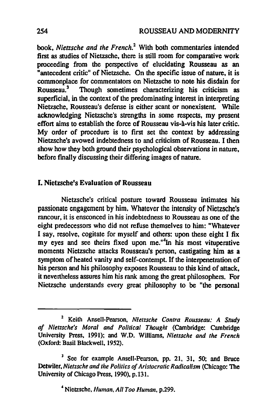book. *Nietzsche and the French?* With both commentaries intended tirst as studies of Nietzsche. there is still room for comparative work proceeding from the perspective of elucidating Rousseau as an "antecedent critic" of Nietzsche. On the specific issue of nature. it is commonplace for commentators on Nietzsche to note his disdain for<br>Rousseau.<sup>3</sup> Though sometimes characterizing his criticism as Though sometimes characterizing his criticism as superficial, in the context of the predominating interest in interpreting Nietzsche. Rousseau's defense is either scant or nonexistent. While acknowledging Nietzsche's strengths in some respects, my present effort aims to establish the force of Rousseau vis-à-vis his later critic. My order of procedure is to first set the context by addressing Nietzsche's avowed indebtedness to and criticism of Rousseau. 1 then show how they both ground their psychological observations in nature. before finaJly discussing their differing images of nature.

### 1. Nietzschets Evaluation of Rousseau

Nietzsche's critical posture toward Rousseau intimates his passionate engagement by him. Whatever the intensity of Nietzsche's rancour. it is ensconced in his indebtedness to Rousseau as one of the eight predecessors who did not refuse themselves to him: "Whatever I say, resolve. cogitate for myself and others: upon these eight I fix my eyes and see theirs fixed upon me."<sup>4</sup>In his most vituperative moments Nietzsche attacks Rousseau's person. castigating bim as a symptom of heated vanity and self-contempt. If the interpenetration of his person and his philosophy exposes Rousseau to this kind of attack. it nevertheless assures him bis rank among the great philosophers. For Nietzsche understands every great philosophy to be "the personal

<sup>2</sup> Keith Ansell-Pearson, *Nietzsche Contra Rousseau:* A Study *of Nietzsche's Moral and Political Thought* (Cambridge: Cambridge University Press, 1991); and W.D. Williams, *Nietzsche and the French* (Oxford: Basil Blackwell, 1952).

<sup>&</sup>lt;sup>3</sup> See for example Ansell-Pearson, pp. 21, 31, 50; and Bruce Detwiler, *Nietzsche and the Politics of Aristocratic Radicalism* (Chicago: The University of Chicago Press, 1990), p.131.

<sup>4</sup> Nietzsche, *Human, Ali Too Human,* p.299.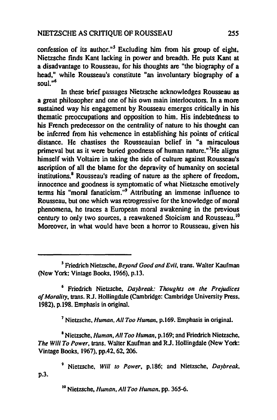confession of its author.<sup>"5</sup> Excluding him from his group of eight, Nietzsche finds Kant lacking in power and breadth. He puts Kant at a disadvantage to Rousseau, for his thoughts are "the biography of a head," while Rousseau's constitute "an involuntary biography of a soul."<sup>6</sup>

In these brief passages Nietzsche acknowledges Rousseau as a great philosopher and one of his own main interlocutors. In a more sustained way his engagement by Rousseau emerges critically in his thematic preoccupations and opposition to him. His indebtedness ta his French predecessor on the centrality of nature to his thought can be inferred from his vehemence in establishing his points of critical distance. He chastises the Rousseauian belief in "a miraculous primeval but as it were buried goodness of human nature. "'He aligns bimself with Voltaire in taking the side of culture against Rousseau's ascription of ail the blame for the depravity of humanity on societal institutions.8 Rousseau's reading of nature as the sphere of freedom. innocence and goodness is symptomatic of what Nietzsche emotively terms his "moral fanaticism."<sup>9</sup> Attributing an immense influence to Rousseau, but one which was retrogressive for the knowledge of moral phenomena. he traces a European moral awakening in the previous century to only two sources, a reawakened Stoicism and Rousseau. 10 Moreover. in what would have been a horror to Rousseau, given bis

7 Nietzsche. *Human. Ali Too Human.* p.169. Emphasis in original.

• Nietzsche, *Human. Ail Too Human.* p.169; and Friedrich Nietzsche, *The Will To Power, trans. Walter Kaufman and R.J. Hollingdale (New York:* Vintage Books. 1967). pp.42. 62. 206.

9 Nietzsche, *Will* 10 *Power.* p.l86; and Nietzsche. *Daybreak.*  p.3.

10 Nietzsche. *Human, Ali Too Human,* pp. 365-6.

<sup>&</sup>lt;sup>5</sup> Friedrich Nietzsche, *Beyond Good and Evil*, trans. Walter Kaufman (New York: Vintage Books, 1966), p.13.

<sup>6</sup> Friedrich Nietzsche. *Daybreak: Thoughts on the Prejudices*  of Morality, trans. R.J. Hollingdale (Cambridge: Cambridge University Press, 1982). p.l98. Emphasis in original.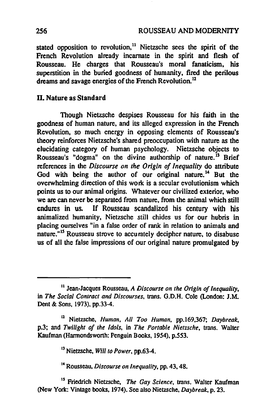stated opposition to revolution,<sup>11</sup> Nietzsche sees the spirit of the French Revolution already incarnate in the spirit and flesh of Rousseau. He charges that Rousseau's moral fanaticism. bis superstition in the buried goodness of humanity. fired the perilous dreams and savage energies of the French Revolution.<sup>12</sup>

### D. Nature as Standard

Though Nietzsche despises Rousseau for his faith in the goodness of human nature, and its alleged expression in the French Revolution, so much energy in opposing elements of Rousseau's theory reinforces Nietzsche's shared preoccupation with nature as the elucidating category of human psychology. Nietzsche objects to Rousseau's "dogma" on the divine authorship of nature.<sup>13</sup> Brief references in the *Discourse on the Origin of Inequality* do attribute God with being the author of our original nature.<sup>14</sup> But the overwhelming direction of this work is a secular evolutionism wbich points us to our animal origins. Whatever our civilized exterior. who we are can never be separated from nature, from the animal which still endures in us. If Rousseau scandalized his century with his animalized humanity, Nietzsche still chides us for our hubris in placing ourselves "in a false order of rank in relation to animais and nature."<sup>15</sup> Rousseau strove to accurately decipher nature, to disabuse us of ail the false impressions of our original nature promulgated by

Il Jean-Jacques Rousseau, *A Discourse on the Origin of Inequality.*  in *The Social Contract and Discourses*, trans. G.D.H. Cole (London: J.M. Dent & Sons, 1973), pp.33-4.

<sup>&</sup>lt;sup>12</sup> Nietzsche, *Human, All Too Human, pp. 169, 367; Daybreak.* p.3; and *Twilight of the Idols*, in *The Portable Nietzsche*, trans. Walter Kaufman (Harmondswonh: Penguin Books, 1954), p.553.

<sup>13</sup> Nietzsche, *Will to Power,* pp.63-4.

<sup>14</sup> Rousseau, *Discourse on Inequality,* pp. 43,48.

<sup>&</sup>lt;sup>15</sup> Friedrich Nietzsche, *The Gay Science*, trans. Walter Kaufman (New York: Vintage books, 1974). Sec also Nietzsche, *Daybreak,* p. 23.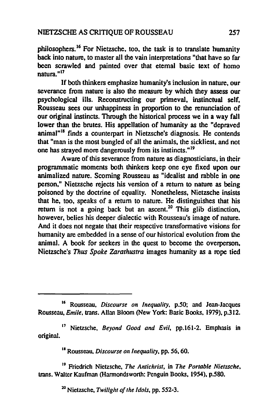philosophers. 16 For Nietzsche. too. the task is to translate humanity back into nature. to master ail the vain interpretations "that have so far been scrawled and painted over that etemal basic text of homo natura." <sup>17</sup>

If both thinkers emphasize humanity's inclusion in nature. our severance from nature is also the measure by which they assess our psychological ills. Reconstructing our primeval. instinctual self. Rousseau sees our unhappiness in proportion to the renunciation of our original instincts. Through the historical process we in a way fall lower than the brutes. His appellation of humanity as the "depraved animal"<sup>18</sup> finds a counterpart in Nietzsche's diagnosis. He contends that "man is the most bungled of ail the animais. the sickliest. and not one has strayed more dangerously from its instincts."<sup>19</sup>

Aware of this severance from nature as diagnosticians, in their programmatic moments both thinkers keep one eye fixed upon our arumalized nature. Scoming Rousseau as "idealist and rabble in one person." Nietzsche rejects his version of a retum to nature as being poisoned by the doctrine of equality. Nonetheless. Nietzsche insists that he. too, speaks of a retum to nature. He distinguishes that his return is not a going back but an ascent.<sup>20</sup> This glib distinction, however. belies his deeper dialectic with Rousseau's image of nature. And it does not negate that their respective transformative visions for humanity are embedded in a sense of our historical evolution from the animal. A book for seekers in the quest to become the overperson. Nietzsche's *Thus Spoke Zarathustra* images humanity as a rope tied

18 Rousseau. *Discourse on Inequa/ity,* pp. 56.60.

19 Friedrich Nietzsche. *The Antichrist.* in *The Portable Nietzsche,*  trans. Walter Kaufman (Harmondsworth: Penguin Books, 1954), p.580.

20 Nietzsche, *Twilight of the Idols.* pp. 552-3.

<sup>15</sup> Rousseau, *Discourse on Inequality,* p.50; and Jean-Jacques Rousseau, *Emile*, *trans. Allan Bloom (New York: Basic Books, 1979), p.312.* 

<sup>11</sup> Nietzsche. *Beyond Good and Evil,* pp.161-2. Emphasis in original.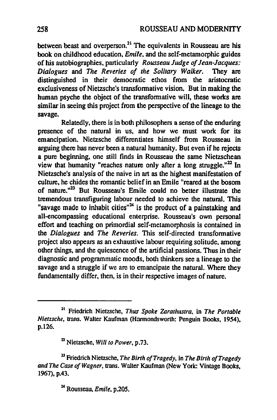between beast and overperson.<sup>21</sup> The equivalents in Rousseau are his book on childhood education, *Emile,* and the self-metamorphic guides of bis autobiographies, particularly *Rousseau Judge of Jean-Jacques: Dialogues* and *The Reveries of the Solitary Walker.* They are distinguished in their democratic ethos from the aristocratie exclusiveness of Nietzsche's transfonnative vision. But in making the human psyche the object of the transformative will, these works are similar in seeing this project from the perspective of the lineage to the savage.

Relatedly, there is in both philosophers a sense of the enduring presence of the natural in us, and how we must work for its emancipation. Nietzsche differentiates himself from Rousseau in arguing there has never been a natural humanity. But even if he rejects a pure beginning, one still finds in Rousseau the same Nietzschean view that humanity "reaches nature only after a long struggle." $^{22}$  In Nietzsche's analysis of the naive in art as the highest manifestation of culture, he chides the romantic belief in an Emile "reared at the bosom of nature."<sup>23</sup> But Rousseau's Emile could no better illustrate the tremendous transfiguring labour needed to achieve the natural. This "savage made to inhabit cities" $24$  is the product of a painstaking and all-encompassing educational enterprise. Rousseau's own personal effort and teaching on primordial self-metamorphosis is contained in the *Dialogues* and *The Reveries.* This self-directed transformative project also appears as an exhaustive labour requiring solitude, among other things, and the quiescence of the artificial passions. Thus in their diagnostic and programmatic moods, both thinkers see a lineage to the savage and a struggle if we are to emancipate the natural. Where they fundamentally differ, then, is in their respective images of nature.

24 Rousseau. *Emile.* p.20S.

<sup>21</sup> Friedrich Nietzsche. *Thus Spoke Zaralhuslra,* in *The Portable Nietzsche*, trans. Walter Kaufman (Harmondsworth: Penguin Books, 1954), p.l26.

<sup>22</sup> Nietzsche. *Will* 10 *Power.* p.73.

<sup>&</sup>lt;sup>23</sup> Friedrich Nietzsche, *The Birth of Tragedy*, in *The Birth of Tragedy and The Case of Wagner.* trans. Waller Kaufman (New York: Vintage Books. 1967), p.43.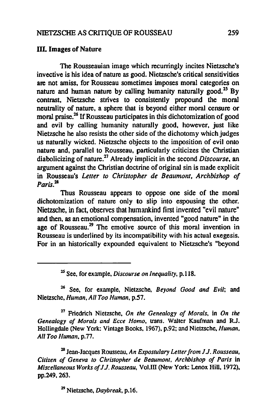#### **III. Images of Nature**

The Rousseauian image which recurringly incites Nietzsche's invective is his idea of nature as good. Nietzsche's critical sensitivities are not amiss, for Rousseau sometimes imposes moral categories on nature and human nature by calling humanity naturally good.*2S* By contrast, Nietzsche strives to consistently propound the moral neutrality of nature, a sphere that is beyond either moral censure or moral praise.<sup>26</sup> If Rousseau participates in this dichotomization of good and evil by calling humanity naturally good, however, just like Nietzsche he also resists the other side of the dichotomy which judges us naturally wicked. Nietzsche objects to the imposition of evil onto nature and, parallel to Rousseau, particularly criticizes the Christian diabolicizing of nature.<sup>27</sup> Already implicit in the second *Discourse*, an argument against the Christian doctrine of original sin is made explicit in Rousseau's Letter to Christopher de Beaumont, Archbishop of *Paris.lB* 

Thus Rousseau appears to oppose one side of the moral dichotomization of nature only to slip into espousing the other. Nietzsche, in fact, observes that humankind first invented "evil nature" and then, as an emotional compensation, invented "good nature" in the age of Rousseau.<sup>29</sup> The emotive source of this moral invention in Rousseau is underlined by its incompatibility with his actual exegesis. For in an historieally expounded equivalent to Nietzsehe's "beyond

2S Sec, for example, *Discourse on Inequality,* p.llS.

26 Sec, for ex ample, Nietzsche, *Beyond Good and Evil;* and Nietzsche, *Human, All Too Human*, p.57.

<sup>27</sup>Friedrich Nietzsche, *On the Genealogy of Morais,* in *On the Genealogy of Morais and Ecce Homo,* trans. Walter Kaufman and RJ. Hollingdale (New York: Vintage Books. 1967). p.92; and Nietzsche, *Human. Ali Too Human.* p.77.

<sup>28</sup> Jean-Jacques Rousseau. *An Expostulary Letter from J.J. Rousseau*. *Citizen of Geneva to Christopher de Beaumont. Archbishop of Paris* in *Miscellaneous Works of J.J. Rousseau, Vol.III (New York: Lenox Hill, 1972),* pp.249, 263.

29 Nietzsche, *Daybreak,* p.16.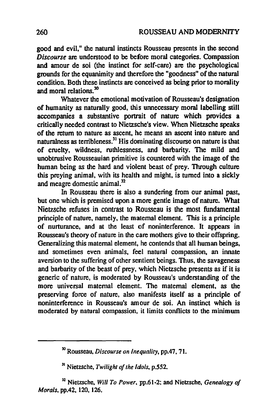good and evil." the natural instincts Rousseau presents in the second *Discourse* are understood to he before moral categories. Compassion and amour de soi (the instinct for self-care) are the psychological grounds for the equanimity and therefore the "goodness" of the natural condition. Both these instincts are conceived as being prior to morality and moral relations.<sup>30</sup>

Whatever the emotional motivation of Rousseau's designation of humanity as naturally good, this unnecessary moral labelling still accompanies a substantive portrait of nature which provides a critically needed contrast to Nietzsche's view. When Nietzsche speaks of the return to nature as ascent. he means an ascent into nature and naturalness as terribleness.<sup>31</sup> His dominating discourse on nature is that of cruelty, wildness, ruthlessness, and barbarity. The mild and unobtrusive Rousseauian primitive is countered with the image of the human being as the hard and violent beast of prey. Through culture this preying animal, with its health and might, is turned into a sickly and meagre domestic animal.<sup>32</sup>

ln Rousseau there is also a sundering from our animal past, but one which is premised upon a more gentle image of nature. What Nietzsche refuses in contrast to Rousseau is the most fundamental principle of nature, namely, the maternai element. This is a principle of nurturance, and at the least of noninterference. Il appears in Rousseau's theory of nature in the care mothers give to their offspring. Generalizing this maternai element, he contends that all human beings, and sometimes even animals, feel natural compassion, an innate aversion to the suffering of other sentient beings. Thus, the savageness and barbarity of the beast of prey, which Nietzsche presents as if it is generic of nature, is moderated by Rousseau's understanding of the more universal maternaI element. The maternal element, as the preserving force of nature, also manifests itself as a principle of noninterference in Rousseau's am our de soi. An instinct which is moderated by natural compassion, it limits conflicts to the minimum

<sup>30</sup> Rousseau. *D;scourse on Inequality,* pp.47, 71.

<sup>&</sup>lt;sup>31</sup> Nietzsche, *Twilight of the Idols*, p.552.

<sup>32</sup> Nietzsche, *Will To Power.* pp.61-2; and Nietzsche. *Genealogyof Morais.* pp.42. 120. 126.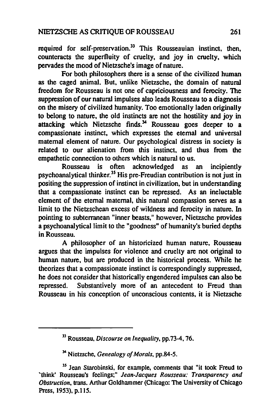required for self-preservation.<sup>33</sup> This Rousseauian instinct, then, counteracts the superfluity of cruelty, and joy in cruelty, which pervades the mood of Nietzsche's image of nature.

For both philosophers there is a sense of the civilized human as the caged animal. But, unlike Nietzsche, the domain of naturaI freedom for Rousseau is not one of capriciousness and ferocity. The suppression of our natural impulses also leads Rousseau to a diagnosis on the misery of civilized humanity. Too emotionally laden originally to belong to nature, the old instincts are not the hostility and joy in attacking which Nietzsche finds. $34$  Rousseau goes deeper to a compassionate instinct, which expresses the eternal and universal maternal element of nature. Our psychological distress in society is related to our alienation from this instinct, and thus from the empathetic connection to others which is natural to us.

Rousseau is often acknowledged as an incipiently psychoanalytical thinker.3S His pre-Freudian contribution is not just in positing the suppression of instinct in civilization, but in understanding that a compassionate instinct can be repressed. As an ineluctable element of the eternal maternai, this natural compassion serves as a limit to the Nietzschean excess of wildness and ferocity in nature. In pointing to subterranean "inner beasts," however, Nietzsche provides a psychoanalytical limit to the "goodness" of humanity's buried depths in Rousseau.

A philosopher of an hisloricized human nature, Rousseau argues that the impulses for violence and cruelty are not original to human nature, but are produced in the historical process. While he theorizes that a compassionate instinct is correspondingly suppressed, he does not consider that historically engendered impulses can also he repressed. Substantively more of an antecedent to Freud than Rousseau in his conception of unconscious contents, it is Nietzsche

301 Nietzsche, *Genealogy of Morais,* pp.84-5.

<sup>33</sup> Rousseau. *Discourse on Inequality,* pp.73-4, 76.

<sup>&</sup>lt;sup>35</sup> Jean Starobinski, for example, comments that "it took Freud to 'lhink' Rousseau's feelings;" *Jean-Jacques Rousseau: Transparency and Obstruction,* trans. Arthur Goldharnmer (Chicago: The University of Chicago Press, 1953), p.l15.